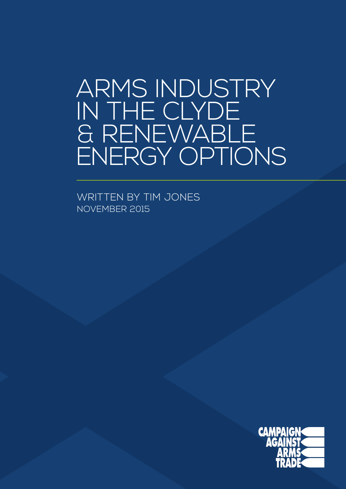### ARMS INDUSTRY IN THE CLYDE & RENEWABLE ENERGY OPTIONS

WRITTEN BY TIM JONES NOVEMBER 2015

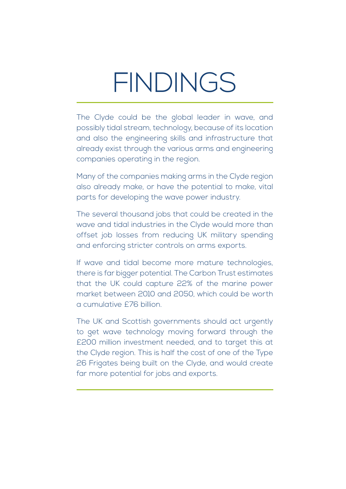# **FINDINGS**

The Clyde could be the global leader in wave, and possibly tidal stream, technology, because of its location and also the engineering skills and infrastructure that already exist through the various arms and engineering companies operating in the region.

Many of the companies making arms in the Clyde region also already make, or have the potential to make, vital parts for developing the wave power industry.

The several thousand jobs that could be created in the wave and tidal industries in the Clyde would more than offset job losses from reducing UK military spending and enforcing stricter controls on arms exports.

If wave and tidal become more mature technologies, there is far bigger potential. The Carbon Trust estimates that the UK could capture 22% of the marine power market between 2010 and 2050, which could be worth a cumulative £76 billion.

The UK and Scottish governments should act urgently to get wave technology moving forward through the £200 million investment needed, and to target this at the Clyde region. This is half the cost of one of the Type 26 Frigates being built on the Clyde, and would create far more potential for jobs and exports.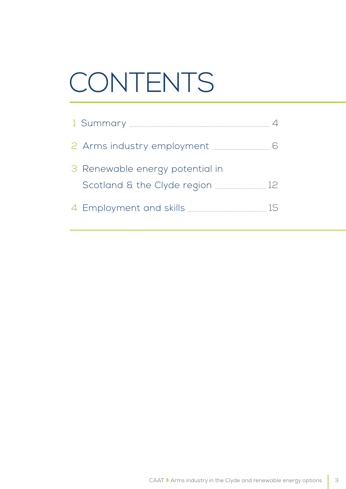# CONTENTS

| 2 Arms industry employment <b>CONCA Arms</b>                                               |  |
|--------------------------------------------------------------------------------------------|--|
| 3 Renewable energy potential in                                                            |  |
| Scotland & the Clyde region _________________ 12                                           |  |
| 4 Employment and skills <b>with the COVID-10</b> SKIIIS <b>COVID-10</b> SKIII COVID-10 AVE |  |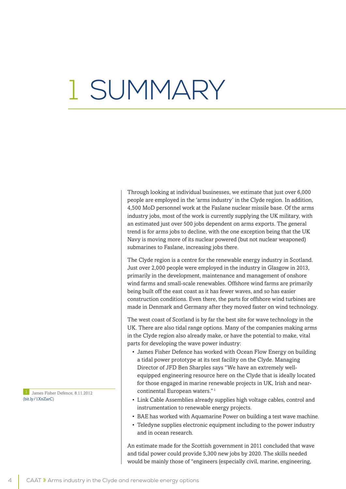# 1 SUMMARY

Through looking at individual businesses, we estimate that just over 6,000 people are employed in the 'arms industry' in the Clyde region. In addition, 4,500 MoD personnel work at the Faslane nuclear missile base. Of the arms industry jobs, most of the work is currently supplying the UK military, with an estimated just over 500 jobs dependent on arms exports. The general trend is for arms jobs to decline, with the one exception being that the UK Navy is moving more of its nuclear powered (but not nuclear weaponed) submarines to Faslane, increasing jobs there.

The Clyde region is a centre for the renewable energy industry in Scotland. Just over 2,000 people were employed in the industry in Glasgow in 2013, primarily in the development, maintenance and management of onshore wind farms and small-scale renewables. Offshore wind farms are primarily being built off the east coast as it has fewer waves, and so has easier construction conditions. Even there, the parts for offshore wind turbines are made in Denmark and Germany after they moved faster on wind technology.

The west coast of Scotland is by far the best site for wave technology in the UK. There are also tidal range options. Many of the companies making arms in the Clyde region also already make, or have the potential to make, vital parts for developing the wave power industry:

- James Fisher Defence has worked with Ocean Flow Energy on building a tidal power prototype at its test facility on the Clyde. Managing Director of JFD Ben Sharples says "We have an extremely wellequipped engineering resource here on the Clyde that is ideally located for those engaged in marine renewable projects in UK, Irish and nearcontinental European waters."<sup>1</sup>
- Link Cable Assemblies already supplies high voltage cables, control and instrumentation to renewable energy projects.
- BAE has worked with Aquamarine Power on building a test wave machine.
- Teledyne supplies electronic equipment including to the power industry and in ocean research.

An estimate made for the Scottish government in 2011 concluded that wave and tidal power could provide 5,300 new jobs by 2020. The skills needed would be mainly those of "engineers (especially civil, marine, engineering,

1 James Fisher Defence, 8.11.2012 ([bit.ly/1XnZarC\)](http://bit.ly/1XnZarC)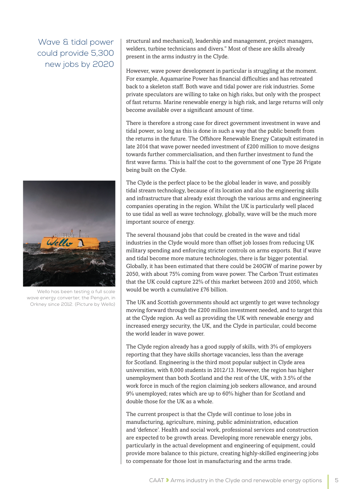Wave & tidal power could provide 5,300 new jobs by 2020



Wello has been testing a full scale wave energy converter, the Penguin, in Orkney since 2012. (Picture by Wello)

structural and mechanical), leadership and management, project managers, welders, turbine technicians and divers." Most of these are skills already present in the arms industry in the Clyde.

However, wave power development in particular is struggling at the moment. For example, Aquamarine Power has financial difficulties and has retreated back to a skeleton staff. Both wave and tidal power are risk industries. Some private speculators are willing to take on high risks, but only with the prospect of fast returns. Marine renewable energy is high risk, and large returns will only become available over a significant amount of time.

There is therefore a strong case for direct government investment in wave and tidal power, so long as this is done in such a way that the public benefit from the returns in the future. The Offshore Renewable Energy Catapult estimated in late 2014 that wave power needed investment of £200 million to move designs towards further commercialisation, and then further investment to fund the first wave farms. This is half the cost to the government of one Type 26 Frigate being built on the Clyde.

The Clyde is the perfect place to be the global leader in wave, and possibly tidal stream technology, because of its location and also the engineering skills and infrastructure that already exist through the various arms and engineering companies operating in the region. Whilst the UK is particularly well placed to use tidal as well as wave technology, globally, wave will be the much more important source of energy.

The several thousand jobs that could be created in the wave and tidal industries in the Clyde would more than offset job losses from reducing UK military spending and enforcing stricter controls on arms exports. But if wave and tidal become more mature technologies, there is far bigger potential. Globally, it has been estimated that there could be 240GW of marine power by 2050, with about 75% coming from wave power. The Carbon Trust estimates that the UK could capture 22% of this market between 2010 and 2050, which would be worth a cumulative £76 billion.

The UK and Scottish governments should act urgently to get wave technology moving forward through the £200 million investment needed, and to target this at the Clyde region. As well as providing the UK with renewable energy and increased energy security, the UK, and the Clyde in particular, could become the world leader in wave power.

The Clyde region already has a good supply of skills, with 3% of employers reporting that they have skills shortage vacancies, less than the average for Scotland. Engineering is the third most popular subject in Clyde area universities, with 8,000 students in 2012/13. However, the region has higher unemployment than both Scotland and the rest of the UK, with 3.5% of the work force in much of the region claiming job seekers allowance, and around 9% unemployed; rates which are up to 60% higher than for Scotland and double those for the UK as a whole.

The current prospect is that the Clyde will continue to lose jobs in manufacturing, agriculture, mining, public administration, education and 'defence'. Health and social work, professional services and construction are expected to be growth areas. Developing more renewable energy jobs, particularly in the actual development and engineering of equipment, could provide more balance to this picture, creating highly-skilled engineering jobs to compensate for those lost in manufacturing and the arms trade.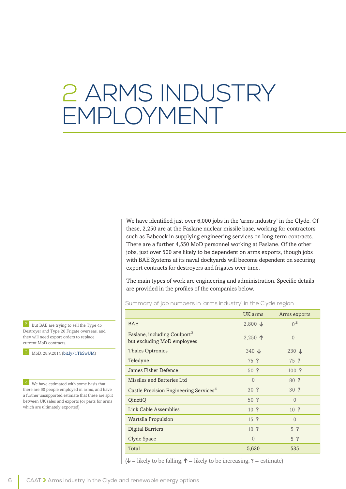## 2 ARMS INDUSTRY EMPLOYMENT

We have identified just over 6,000 jobs in the 'arms industry' in the Clyde. Of these, 2,250 are at the Faslane nuclear missile base, working for contractors such as Babcock in supplying engineering services on long-term contracts. There are a further 4,550 MoD personnel working at Faslane. Of the other jobs, just over 500 are likely to be dependent on arms exports, though jobs with BAE Systems at its naval dockyards will become dependent on securing export contracts for destroyers and frigates over time.

The main types of work are engineering and administration. Specific details are provided in the profiles of the companies below.

Summary of job numbers in 'arms industry' in the Clyde region

|                                                                         | UK arms           | Arms exports    |
|-------------------------------------------------------------------------|-------------------|-----------------|
| <b>BAE</b>                                                              | $2,800 \text{ J}$ | 0 <sup>2</sup>  |
| Faslane, including Coulport <sup>3</sup><br>but excluding MoD employees | 2,250 $\uparrow$  | $\theta$        |
| <b>Thales Optronics</b>                                                 | 340 $\downarrow$  | $230 \text{ J}$ |
| Teledyne                                                                | 75 ?              | 75 ?            |
| James Fisher Defence                                                    | $50$ ?            | $100$ ?         |
| Missiles and Batteries Ltd                                              | $\Omega$          | 80 ?            |
| Castle Precision Engineering Services <sup>4</sup>                      | 30 ?              | 30 ?            |
| QinetiQ                                                                 | $50$ ?            | $\theta$        |
| Link Cable Assemblies                                                   | 10 <sup>2</sup>   | 10 <sup>2</sup> |
| Wartsila Propulsion                                                     | $15$ ?            | $\theta$        |
| Digital Barriers                                                        | 10 <sup>2</sup>   | 5 <sup>2</sup>  |
| Clyde Space                                                             | $\theta$          | 5 <sup>2</sup>  |
| Total                                                                   | 5,630             | 535             |

 $(\psi =$  likely to be falling,  $\uparrow =$  likely to be increasing,  $? =$  estimate)

But BAE are trying to sell the Type 45 Destroyer and Type 26 Frigate overseas, and they will need export orders to replace current MoD contracts.

3 MoD, 28.9.2014 ([bit.ly/1TbSwUM](http://bit.ly/1TbSwUM))

**4** We have estimated with some basis that there are 60 people employed in arms, and have a further unsupported estimate that these are split between UK sales and exports (or parts for arms which are ultimately exported).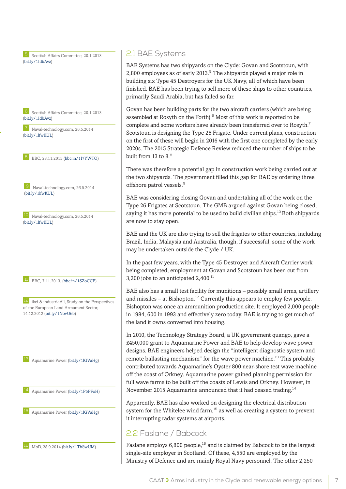5 Scottish Affairs Committee, 20.1.2013 ([bit.ly/1IdbAvz\)](http://bit.ly/1IdbAvz)

6 Scottish Affairs Committee, 20.1.2013 ([bit.ly/1IdbAvz\)](http://bit.ly/1IdbAvz)

7 Naval-technology.com, 26.5.2014 ([bit.ly/1lfwKUL\)](http://bit.ly/1lfwKUL)

8 BBC, 23.11.2015 ([bbc.in/1I7YWTO\)](http://bbc.in/1I7YWTO)

9 Naval-technology.com, 26.5.2014 ([bit.ly/1lfwKUL\)](http://bit.ly/1lfwKUL)

10 Naval-technology.com, 26.5.2014 ([bit.ly/1lfwKUL\)](http://bit.ly/1lfwKUL)

11 BBC, 7.11.2013, ([bbc.in/1SZoCCE](http://bbc.in/1SZoCCE))

12 ikei & industriaAll, Study on the Perspectives of the European Land Armament Sector, 14.12.2012 ([bit.ly/1NbvU6b\)](http://bit.ly/1NbvU6b)

13 Aquamarine Power [\(bit.ly/1lGVaHg](http://bit.ly/1lGVaHg))

14 Aquamarine Power [\(bit.ly/1P5FFoH](http://bit.ly/1P5FFoH))

15 Aquamarine Power [\(bit.ly/1lGVaHg](http://bit.ly/1lGVaHg))



#### 2.1 BAE Systems

BAE Systems has two shipyards on the Clyde: Govan and Scotstoun, with 2,800 employees as of early  $2013$ <sup>5</sup> The shipyards played a major role in building six Type 45 Destroyers for the UK Navy, all of which have been finished. BAE has been trying to sell more of these ships to other countries, primarily Saudi Arabia, but has failed so far.

Govan has been building parts for the two aircraft carriers (which are being assembled at Rosyth on the Forth).<sup>6</sup> Most of this work is reported to be complete and some workers have already been transferred over to Rosyth.<sup>7</sup> Scotstoun is designing the Type 26 Frigate. Under current plans, construction on the first of these will begin in 2016 with the first one completed by the early 2020s. The 2015 Strategic Defence Review reduced the number of ships to be built from 13 to  $8<sup>8</sup>$ 

There was therefore a potential gap in construction work being carried out at the two shipyards. The government filled this gap for BAE by ordering three offshore patrol vessels.<sup>9</sup>

BAE was considering closing Govan and undertaking all of the work on the Type 26 Frigates at Scotstoun. The GMB argued against Govan being closed, saying it has more potential to be used to build civilian ships.<sup>10</sup> Both shipyards are now to stay open.

BAE and the UK are also trying to sell the frigates to other countries, including Brazil, India, Malaysia and Australia, though, if successful, some of the work may be undertaken outside the Clyde / UK.

In the past few years, with the Type 45 Destroyer and Aircraft Carrier work being completed, employment at Govan and Scotstoun has been cut from 3,200 jobs to an anticipated  $2,400$ .<sup>11</sup>

BAE also has a small test facility for munitions – possibly small arms, artillery and missiles – at Bishopton.<sup>12</sup> Currently this appears to employ few people. Bishopton was once an ammunition production site. It employed 2,000 people in 1984, 600 in 1993 and effectively zero today. BAE is trying to get much of the land it owns converted into housing.

In 2010, the Technology Strategy Board, a UK government quango, gave a £450,000 grant to Aquamarine Power and BAE to help develop wave power designs. BAE engineers helped design the "intelligent diagnostic system and remote ballasting mechanism" for the wave power machine.<sup>13</sup> This probably contributed towards Aquamarine's Oyster 800 near-shore test wave machine off the coast of Orkney. Aquamarine power gained planning permission for full wave farms to be built off the coasts of Lewis and Orkney. However, in November 2015 Aquamarine announced that it had ceased trading.<sup>14</sup>

Apparently, BAE has also worked on designing the electrical distribution system for the Whitelee wind farm.<sup>15</sup> as well as creating a system to prevent it interrupting radar systems at airports.

#### 2.2 Faslane / Babcock

Faslane employs 6,800 people,<sup>16</sup> and is claimed by Babcock to be the largest single-site employer in Scotland. Of these, 4,550 are employed by the Ministry of Defence and are mainly Royal Navy personnel. The other 2,250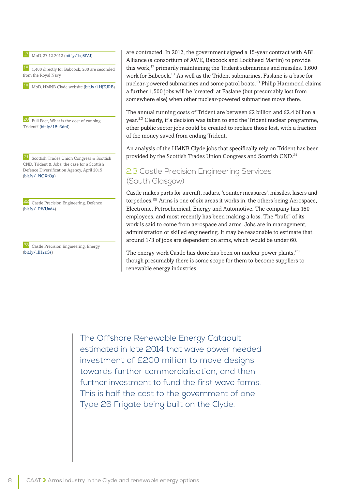17 MoD, 27.12.2012 ([bit.ly/1xj8fVJ\)](http://bit.ly/1xj8fVJ)

18 1,400 directly for Babcock, 200 are seconded from the Royal Navy

19 MoD, HMNB Clyde website ([bit.ly/1HjZJRB](http://bit.ly/1HjZJRB))

20 Full Fact, What is the cost of running Trident? ([bit.ly/1Bu3dr4](http://bit.ly/1Bu3dr4))

21 Scottish Trades Union Congress & Scottish CND, Trident & Jobs: the case for a Scottish Defence Diversification Agency, April 2015 ([bit.ly/1NQXtOg\)](http://bit.ly/1NQXtOg)

22 Castle Precision Engineering, Defence ([bit.ly/1PWUad4](http://bit.ly/1PWUad4))

23 Castle Precision Engineering, Energy ([bit.ly/1lH2zGs\)](http://bit.ly/1lH2zGs)

are contracted. In 2012, the government signed a 15-year contract with ABL Alliance (a consortium of AWE, Babcock and Lockheed Martin) to provide this work, $^{17}$  primarily maintaining the Trident submarines and missiles. 1,600 work for Babcock.<sup>18</sup> As well as the Trident submarines, Faslane is a base for nuclear-powered submarines and some patrol boats.<sup>19</sup> Philip Hammond claims a further 1,500 jobs will be 'created' at Faslane (but presumably lost from somewhere else) when other nuclear-powered submarines move there.

The annual running costs of Trident are between £2 billion and £2.4 billion a year.<sup>20</sup> Clearly, if a decision was taken to end the Trident nuclear programme, other public sector jobs could be created to replace those lost, with a fraction of the money saved from ending Trident.

An analysis of the HMNB Clyde jobs that specifically rely on Trident has been provided by the Scottish Trades Union Congress and Scottish CND.<sup>21</sup>

#### 2.3 Castle Precision Engineering Services (South Glasgow)

Castle makes parts for aircraft, radars, 'counter measures', missiles, lasers and torpedoes.<sup>22</sup> Arms is one of six areas it works in, the others being Aerospace, Electronic, Petrochemical, Energy and Automotive. The company has 160 employees, and most recently has been making a loss. The "bulk" of its work is said to come from aerospace and arms. Jobs are in management, administration or skilled engineering. It may be reasonable to estimate that around 1/3 of jobs are dependent on arms, which would be under 60.

The energy work Castle has done has been on nuclear power plants, $23$ though presumably there is some scope for them to become suppliers to renewable energy industries.

The Offshore Renewable Energy Catapult estimated in late 2014 that wave power needed investment of £200 million to move designs towards further commercialisation, and then further investment to fund the first wave farms. This is half the cost to the government of one Type 26 Frigate being built on the Clyde.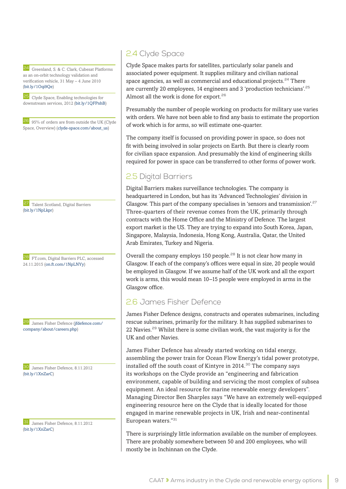24 Greenland, S. & C. Clark, Cubesat Platforms as an on-orbit technology validation and verification vehicle, 31 May – 4 June 2010 ([bit.ly/1Oqi9Qe](http://bit.ly/1Oqi9Qe))

25 Clyde Space, Enabling technologies for downstream services, 2012 [\(bit.ly/1QFPnhB](http://bit.ly/1QFPnhB))

26 95% of orders are from outside the UK (Clyde Space, Overview) ([clyde-space.com/about\\_us](http://www.clyde-space.com/about_us))

27 Talent Scotland, Digital Barriers ([bit.ly/1NpLkpr\)](http://bit.ly/1NpLkpr)

28 FT.com, Digital Barriers PLC, accessed 24.11.2015 ([on.ft.com/1NpLNYy\)](http://on.ft.com/1NpLNYy)

James Fisher Defence ([jfdefence.com/](http://jfdefence.com/company/about/careers.php) [company/about/careers.php](http://jfdefence.com/company/about/careers.php))

30 James Fisher Defence, 8.11.2012 ([bit.ly/1XnZarC\)](http://bit.ly/1XnZarC)

31 James Fisher Defence, 8.11.2012 ([bit.ly/1XnZarC\)](http://bit.ly/1XnZarC)

### 2.4 Clyde Space

Clyde Space makes parts for satellites, particularly solar panels and associated power equipment. It supplies military and civilian national space agencies, as well as commercial and educational projects.<sup>24</sup> There are currently 20 employees, 14 engineers and 3 'production technicians'.<sup>25</sup> Almost all the work is done for export.<sup>26</sup>

Presumably the number of people working on products for military use varies with orders. We have not been able to find any basis to estimate the proportion of work which is for arms, so will estimate one-quarter.

The company itself is focussed on providing power in space, so does not fit with being involved in solar projects on Earth. But there is clearly room for civilian space expansion. And presumably the kind of engineering skills required for power in space can be transferred to other forms of power work.

### 2.5 Digital Barriers

Digital Barriers makes surveillance technologies. The company is headquartered in London, but has its 'Advanced Technologies' division in Glasgow. This part of the company specialises in 'sensors and transmission'.<sup>27</sup> Three-quarters of their revenue comes from the UK, primarily through contracts with the Home Office and the Ministry of Defence. The largest export market is the US. They are trying to expand into South Korea, Japan, Singapore, Malaysia, Indonesia, Hong Kong, Australia, Qatar, the United Arab Emirates, Turkey and Nigeria.

Overall the company employs 150 people.<sup>28</sup> It is not clear how many in Glasgow. If each of the company's offices were equal in size, 20 people would be employed in Glasgow. If we assume half of the UK work and all the export work is arms, this would mean 10–15 people were employed in arms in the Glasgow office.

#### 2.6 James Fisher Defence

James Fisher Defence designs, constructs and operates submarines, including rescue submarines, primarily for the military. It has supplied submarines to 22 Navies.<sup>29</sup> Whilst there is some civilian work, the vast majority is for the UK and other Navies.

James Fisher Defence has already started working on tidal energy, assembling the power train for Ocean Flow Energy's tidal power prototype, installed off the south coast of Kintyre in  $2014$ <sup>30</sup> The company says its workshops on the Clyde provide an "engineering and fabrication environment, capable of building and servicing the most complex of subsea equipment. An ideal resource for marine renewable energy developers". Managing Director Ben Sharples says "We have an extremely well-equipped engineering resource here on the Clyde that is ideally located for those engaged in marine renewable projects in UK, Irish and near-continental European waters."<sup>31</sup>

There is surprisingly little information available on the number of employees. There are probably somewhere between 50 and 200 employees, who will mostly be in Inchinnan on the Clyde.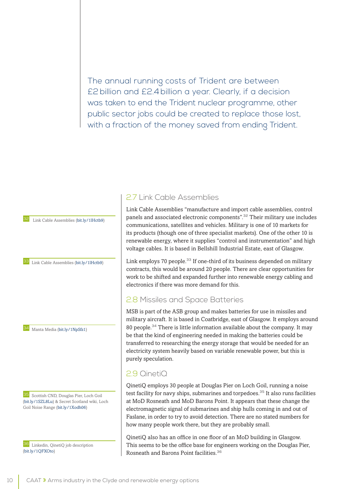The annual running costs of Trident are between £2billion and £2.4 billion a year. Clearly, if a decision was taken to end the Trident nuclear programme, other public sector jobs could be created to replace those lost, with a fraction of the money saved from ending Trident.

Link Cable Assemblies ([bit.ly/1lHctb9\)](http://bit.ly/1lHctb9)

33 Link Cable Assemblies ([bit.ly/1lHctb9\)](http://bit.ly/1lHctb9)

34 Manta Media [\(bit.ly/1NpSfz1\)](http://bit.ly/1NpSfz1)

**35** Scottish CND, Douglas Pier, Loch Goil ([bit.ly/1SZL8Lu\)](http://bit.ly/1SZL8Lu) & Secret Scotland wiki, Loch Goil Noise Range [\(bit.ly/1Xodh06\)](http://bit.ly/1Xodh06)

36 Linkedin, QinetiQ job description ([bit.ly/1QFXOto](http://bit.ly/1QFXOto))

#### 2.7 Link Cable Assemblies

Link Cable Assemblies "manufacture and import cable assemblies, control panels and associated electronic components".<sup>32</sup> Their military use includes communications, satellites and vehicles. Military is one of 10 markets for its products (though one of three specialist markets). One of the other 10 is renewable energy, where it supplies "control and instrumentation" and high voltage cables. It is based in Bellshill Industrial Estate, east of Glasgow.

Link employs 70 people.<sup>33</sup> If one-third of its business depended on military contracts, this would be around 20 people. There are clear opportunities for work to be shifted and expanded further into renewable energy cabling and electronics if there was more demand for this.

#### 2.8 Missiles and Space Batteries

MSB is part of the ASB group and makes batteries for use in missiles and military aircraft. It is based in Coatbridge, east of Glasgow. It employs around 80 people.<sup>34</sup> There is little information available about the company. It may be that the kind of engineering needed in making the batteries could be transferred to researching the energy storage that would be needed for an electricity system heavily based on variable renewable power, but this is purely speculation.

#### 2.9 QinetiQ

QinetiQ employs 30 people at Douglas Pier on Loch Goil, running a noise test facility for navy ships, submarines and torpedoes.<sup>35</sup> It also runs facilities at MoD Rosneath and MoD Barons Point. It appears that these change the electromagnetic signal of submarines and ship hulls coming in and out of Faslane, in order to try to avoid detection. There are no stated numbers for how many people work there, but they are probably small.

QinetiQ also has an office in one floor of an MoD building in Glasgow. This seems to be the office base for engineers working on the Douglas Pier, Rosneath and Barons Point facilities.<sup>36</sup>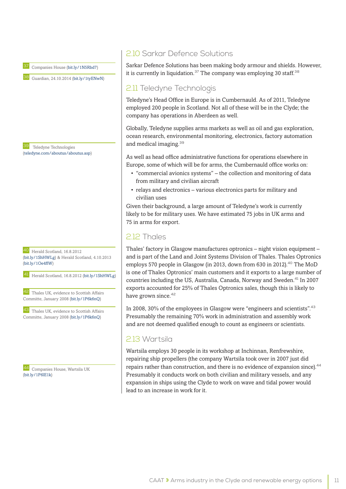37 Companies House ([bit.ly/1N5Rbd7\)](http://bit.ly/1N5Rbd7)

38 Guardian, 24.10.2014 ([bit.ly/1tyENwN](http://bit.ly/1tyENwN))

39 Teledyne Technologies ([teledyne.com/aboutus/aboutus.asp\)](http://teledyne.com/aboutus/aboutus.asp)

40 Herald Scotland, 16.8.2012 ([bit.ly/1ShHWLg](http://bit.ly/1ShHWLg)) & Herald Scotland, 4.10.2013 ([bit.ly/1Oe4flW\)](http://bit.ly/1Oe4flW)

41 Herald Scotland, 16.8.2012 ([bit.ly/1ShHWLg](http://bit.ly/1ShHWLg))

42 Thales UK, evidence to Scottish Affairs Committe, January 2008 [\(bit.ly/1P6k6nQ\)](http://bit.ly/1P6k6nQ)

43 Thales UK, evidence to Scottish Affairs Committe, January 2008 [\(bit.ly/1P6k6nQ\)](http://bit.ly/1P6k6nQ)

44 Companies House, Wartsila UK ([bit.ly/1P6lE1k\)](http://bit.ly/1P6lE1k)

#### 2.10 Sarkar Defence Solutions

Sarkar Defence Solutions has been making body armour and shields. However, it is currently in liquidation.<sup>37</sup> The company was employing 30 staff.<sup>38</sup>

#### 2.11 Teledyne Technologis

Teledyne's Head Office in Europe is in Cumbernauld. As of 2011, Teledyne employed 200 people in Scotland. Not all of these will be in the Clyde; the company has operations in Aberdeen as well.

Globally, Teledyne supplies arms markets as well as oil and gas exploration, ocean research, environmental monitoring, electronics, factory automation and medical imaging.<sup>39</sup>

As well as head office administrative functions for operations elsewhere in Europe, some of which will be for arms, the Cumbernauld office works on:

- "commercial avionics systems" the collection and monitoring of data from military and civilian aircraft
- relays and electronics various electronics parts for military and civilian uses

Given their background, a large amount of Teledyne's work is currently likely to be for military uses. We have estimated 75 jobs in UK arms and 75 in arms for export.

#### 2.12 Thales

Thales' factory in Glasgow manufactures optronics – night vision equipment – and is part of the Land and Joint Systems Division of Thales. Thales Optronics employs 570 people in Glasgow (in 2013, down from 630 in 2012).<sup>40</sup> The MoD is one of Thales Optronics' main customers and it exports to a large number of countries including the US, Australia, Canada, Norway and Sweden.<sup>41</sup> In 2007 exports accounted for 25% of Thales Optronics sales, though this is likely to have grown since.<sup>42</sup>

In 2008, 30% of the employees in Glasgow were "engineers and scientists".<sup>43</sup> Presumably the remaining 70% work in administration and assembly work and are not deemed qualified enough to count as engineers or scientists.

#### 2.13 Wartsila

Wartsila employs 30 people in its workshop at Inchinnan, Renfrewshire, repairing ship propellers (the company Wartsila took over in 2007 just did repairs rather than construction, and there is no evidence of expansion since).<sup>44</sup> Presumably it conducts work on both civilian and military vessels, and any expansion in ships using the Clyde to work on wave and tidal power would lead to an increase in work for it.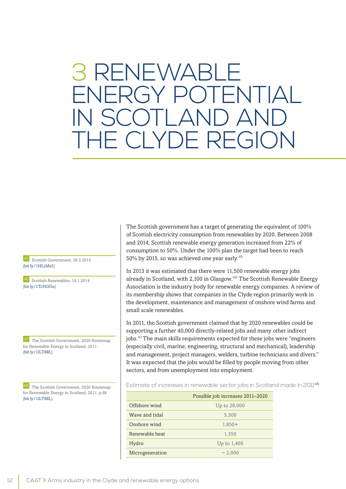### 3 RENEWABLE ENERGY POTENTIAL IN SCOTLAND AND DF REGION

45 Scottish Government, 26.3.2015 ([bit.ly/1HLsMs5](http://bit.ly/1HLsMs5))

46 Scottish Renewables, 14.1.2014 ([bit.ly/1TcHGOu\)](http://bit.ly/1TcHGOu)

47 The Scottish Government, 2020 Routemap for Renewable Energy in Scotland, 2011 ([bit.ly/1lLT88L](http://bit.ly/1lLT88L))

48 The Scottish Government, 2020 Routemap for Renewable Energy in Scotland, 2011, p.48 ([bit.ly/1lLT88L](http://bit.ly/1lLT88L))

The Scottish government has a target of generating the equivalent of 100% of Scottish electricity consumption from renewables by 2020. Between 2008 and 2014, Scottish renewable energy generation increased from 22% of consumption to 50%. Under the 100% plan the target had been to reach 50% by 2015, so was achieved one year early.<sup>45</sup>

In 2013 it was estimated that there were 11,500 renewable energy jobs already in Scotland, with 2,100 in Glasgow.<sup>46</sup> The Scottish Renewable Energy Association is the industry body for renewable energy companies. A review of its membership shows that companies in the Clyde region primarily work in the development, maintenance and management of onshore wind farms and small scale renewables.

In 2011, the Scottish government claimed that by 2020 renewables could be supporting a further 40,000 directly-related jobs and many other indirect jobs.<sup>47</sup>The main skills requirements expected for these jobs were "engineers (especially civil, marine, engineering, structural and mechanical), leadership and management, project managers, welders, turbine technicians and divers." It was expected that the jobs would be filled by people moving from other sectors, and from unemployment into employment.

Estimate of increases in renewable sector jobs in Scotland made in 2011<sup>48</sup>

|                 | Possible job increases 2011-2020 |
|-----------------|----------------------------------|
| Offshore wind   | Up to 28,000                     |
| Wave and tidal  | 5.300                            |
| Onshore wind    | $1.650+$                         |
| Renewable heat  | 1,350                            |
| Hydro           | Up to 1,400                      |
| Microgeneration | ~2,000                           |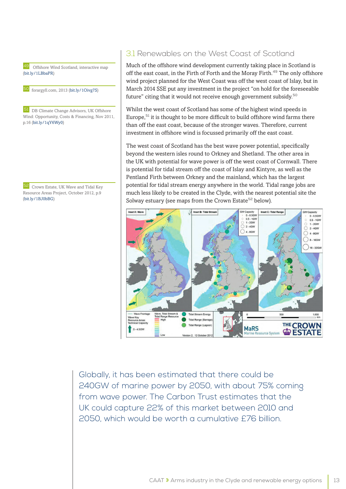Offshore Wind Scotland, interactive map ([bit.ly/1LBbaPR](http://bit.ly/1LBbaPR))

50 forargyll.com, 2013 ([bit.ly/1Oivg7S](http://bit.ly/1Oivg7S))

51 DB Climate Change Advisors, UK Offshore Wind: Opportunity, Costs & Financing, Nov 2011, p.16 [\(bit.ly/1qY6Wy0](http://bit.ly/1qY6Wy0))

52 Crown Estate, UK Wave and Tidal Key Resource Areas Project, October 2012, p.9 ([bit.ly/1BJ0bBG\)](http://bit.ly/1BJ0bBG)

#### 3.1 Renewables on the West Coast of Scotland

Much of the offshore wind development currently taking place in Scotland is off the east coast, in the Firth of Forth and the Moray Firth.<sup>49</sup> The only offshore wind project planned for the West Coast was off the west coast of Islay, but in March 2014 SSE put any investment in the project "on hold for the foreseeable future" citing that it would not receive enough government subsidy. $50$ 

Whilst the west coast of Scotland has some of the highest wind speeds in Europe, $51$  it is thought to be more difficult to build offshore wind farms there than off the east coast, because of the stronger waves. Therefore, current investment in offshore wind is focussed primarily off the east coast.

The west coast of Scotland has the best wave power potential, specifically beyond the western isles round to Orkney and Shetland. The other area in the UK with potential for wave power is off the west coast of Cornwall. There is potential for tidal stream off the coast of Islay and Kintyre, as well as the Pentland Firth between Orkney and the mainland, which has the largest potential for tidal stream energy anywhere in the world. Tidal range jobs are much less likely to be created in the Clyde, with the nearest potential site the Solway estuary (see maps from the Crown Estate<sup>52</sup> below).



Globally, it has been estimated that there could be 240GW of marine power by 2050, with about 75% coming from wave power. The Carbon Trust estimates that the UK could capture 22% of this market between 2010 and 2050, which would be worth a cumulative £76 billion.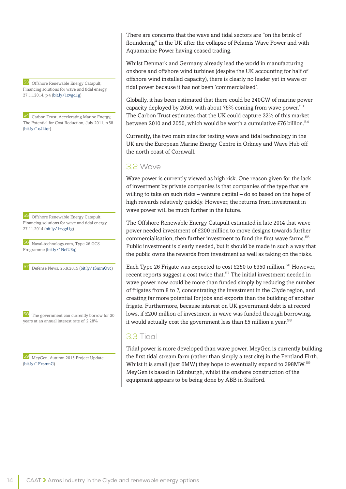53 Offshore Renewable Energy Catapult, Financing solutions for wave and tidal energy, 27.11.2014, p.4 ([bit.ly/1zvgd1g](http://bit.ly/1zvgd1g))

Carbon Trust, Accelerating Marine Energy, The Potential for Cost Reduction, July 2011, p.58 ([bit.ly/1qJ4tqt\)](http://bit.ly/1qJ4tqt)

55 Offshore Renewable Energy Catapult, Financing solutions for wave and tidal energy, 27.11.2014 ([bit.ly/1zvgd1g](http://bit.ly/1zvgd1g))

56 Naval-technology.com, Type 26 GCS Programme [\(bit.ly/1NefU3q](http://bit.ly/1NefU3q))

Defense News, 25.9.2015 ([bit.ly/1SmmQvc](http://bit.ly/1SmmQvc))

58 The government can currently borrow for 30 years at an annual interest rate of 2.28%

59 MeyGen, Autumn 2015 Project Update ([bit.ly/1FxsmnG\)](http://bit.ly/1FxsmnG)

There are concerns that the wave and tidal sectors are "on the brink of floundering" in the UK after the collapse of Pelamis Wave Power and with Aquamarine Power having ceased trading.

Whilst Denmark and Germany already lead the world in manufacturing onshore and offshore wind turbines (despite the UK accounting for half of offshore wind installed capacity), there is clearly no leader yet in wave or tidal power because it has not been 'commercialised'.

Globally, it has been estimated that there could be 240GW of marine power capacity deployed by 2050, with about  $75\%$  coming from wave power.  $53$ The Carbon Trust estimates that the UK could capture 22% of this market between 2010 and 2050, which would be worth a cumulative £76 billion.<sup>54</sup>

Currently, the two main sites for testing wave and tidal technology in the UK are the European Marine Energy Centre in Orkney and Wave Hub off the north coast of Cornwall.

#### 3.2 Wave

Wave power is currently viewed as high risk. One reason given for the lack of investment by private companies is that companies of the type that are willing to take on such risks – venture capital – do so based on the hope of high rewards relatively quickly. However, the returns from investment in wave power will be much further in the future.

The Offshore Renewable Energy Catapult estimated in late 2014 that wave power needed investment of £200 million to move designs towards further commercialisation, then further investment to fund the first wave farms.<sup>55</sup> Public investment is clearly needed, but it should be made in such a way that the public owns the rewards from investment as well as taking on the risks.

Each Type 26 Frigate was expected to cost £250 to £350 million.<sup>56</sup> However, recent reports suggest a cost twice that.<sup>57</sup> The initial investment needed in wave power now could be more than funded simply by reducing the number of frigates from 8 to 7, concentrating the investment in the Clyde region, and creating far more potential for jobs and exports than the building of another frigate. Furthermore, because interest on UK government debt is at record lows, if £200 million of investment in wave was funded through borrowing, it would actually cost the government less than £5 million a year.<sup>58</sup>

#### 3.3 Tidal

Tidal power is more developed than wave power. MeyGen is currently building the first tidal stream farm (rather than simply a test site) in the Pentland Firth. Whilst it is small (just 6MW) they hope to eventually expand to 398MW.<sup>59</sup> MeyGen is based in Edinburgh, whilst the onshore construction of the equipment appears to be being done by ABB in Stafford.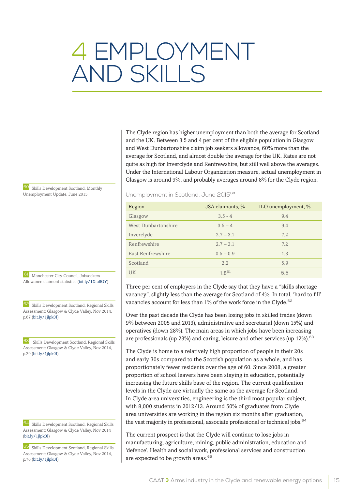## 4 EMPLOYMENT AND SKILLS

The Clyde region has higher unemployment than both the average for Scotland and the UK. Between 3.5 and 4 per cent of the eligible population in Glasgow and West Dunbartonshire claim job seekers allowance, 60% more than the average for Scotland, and almost double the average for the UK. Rates are not quite as high for Inverclyde and Renfrewshire, but still well above the averages. Under the International Labour Organization measure, actual unemployment in Glasgow is around 9%, and probably averages around 8% for the Clyde region.

#### Unemployment in Scotland, June 2015<sup>60</sup>

| Region              | JSA claimants, % | ILO unemployment, % |
|---------------------|------------------|---------------------|
| Glasgow             | $3.5 - 4$        | 9.4                 |
| West Dunbartonshire | $3.5 - 4$        | 9.4                 |
| Inverclyde          | $2.7 - 3.1$      | 7.2                 |
| Renfrewshire        | $2.7 - 3.1$      | 7.2                 |
| East Renfrewshire   | $0.5 - 0.9$      | 1.3                 |
| Scotland            | 2.2              | 5.9                 |
| <b>UK</b>           | $1.8^{61}$       | 5.5                 |

Three per cent of employers in the Clyde say that they have a "skills shortage vacancy", slightly less than the average for Scotland of 4%. In total, 'hard to fill' vacancies account for less than  $1\%$  of the work force in the Clyde.<sup>62</sup>

Over the past decade the Clyde has been losing jobs in skilled trades (down 9% between 2005 and 2013), administrative and secretarial (down 15%) and operatives (down 28%). The main areas in which jobs have been increasing are professionals (up 23%) and caring, leisure and other services (up 12%).<sup>63</sup>

The Clyde is home to a relatively high proportion of people in their 20s and early 30s compared to the Scottish population as a whole, and has proportionately fewer residents over the age of 60. Since 2008, a greater proportion of school leavers have been staying in education, potentially increasing the future skills base of the region. The current qualification levels in the Clyde are virtually the same as the average for Scotland. In Clyde area universities, engineering is the third most popular subject, with 8,000 students in 2012/13. Around 50% of graduates from Clyde area universities are working in the region six months after graduation, the vast majority in professional, associate professional or technical jobs.<sup>64</sup>

The current prospect is that the Clyde will continue to lose jobs in manufacturing, agriculture, mining, public administration, education and 'defence'. Health and social work, professional services and construction are expected to be growth areas.<sup>65</sup>

60 Skills Development Scotland, Monthly Unemployment Update, June 2015

61 Manchester City Council, Jobseekers Allowance claiment statistics ([bit.ly/1Xiu8GY](http://bit.ly/1Xiu8GY))

62 Skills Development Scotland, Regional Skills Assessment: Glasgow & Clyde Valley, Nov 2014, p.67 [\(bit.ly/1jlpk0I\)](http://bit.ly/1jlpk0I)

Skills Development Scotland, Regional Skills Assessment: Glasgow & Clyde Valley, Nov 2014, p.29 [\(bit.ly/1jlpk0I\)](http://bit.ly/1jlpk0I)

64 Skills Development Scotland, Regional Skills Assessment: Glasgow & Clyde Valley, Nov 2014 ([bit.ly/1jlpk0I](http://bit.ly/1jlpk0I))

65 Skills Development Scotland, Regional Skills Assessment: Glasgow & Clyde Valley, Nov 2014, p.76 [\(bit.ly/1jlpk0I\)](http://bit.ly/1jlpk0I)